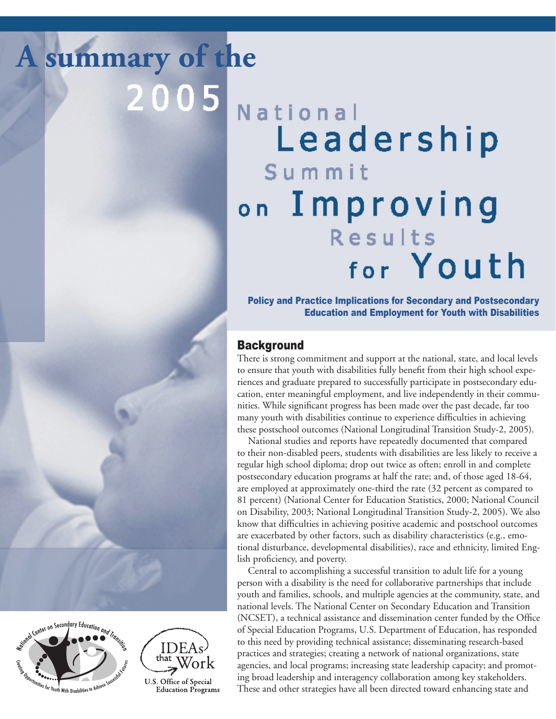**A summary of the** $2005$ 

National Leadership Summit on Improving Results for Youth

Policy and Practice Implications for Secondary and Postsecondary Education and Employment for Youth with Disabilities

# **Background**

There is strong commitment and support at the national, state, and local levels to ensure that youth with disabilities fully benefit from their high school experiences and graduate prepared to successfully participate in postsecondary education, enter meaningful employment, and live independently in their communities. While significant progress has been made over the past decade, far too many youth with disabilities continue to experience difficulties in achieving these postschool outcomes (National Longitudinal Transition Study-2, 2005).

National studies and reports have repeatedly documented that compared to their non-disabled peers, students with disabilities are less likely to receive a regular high school diploma; drop out twice as often; enroll in and complete postsecondary education programs at half the rate; and, of those aged 18-64, are employed at approximately one-third the rate (32 percent as compared to 81 percent) (National Center for Education Statistics, 2000; National Council on Disability, 2003; National Longitudinal Transition Study-2, 2005). We also know that difficulties in achieving positive academic and postschool outcomes are exacerbated by other factors, such as disability characteristics (e.g., emotional disturbance, developmental disabilities), race and ethnicity, limited English proficiency, and poverty.

Central to accomplishing a successful transition to adult life for a young person with a disability is the need for collaborative partnerships that include youth and families, schools, and multiple agencies at the community, state, and national levels. The National Center on Secondary Education and Transition (NCSET), a technical assistance and dissemination center funded by the Office of Special Education Programs, U.S. Department of Education, has responded to this need by providing technical assistance; disseminating research-based practices and strategies; creating a network of national organizations, state agencies, and local programs; increasing state leadership capacity; and promoting broad leadership and interagency collaboration among key stakeholders. These and other strategies have all been directed toward enhancing state and



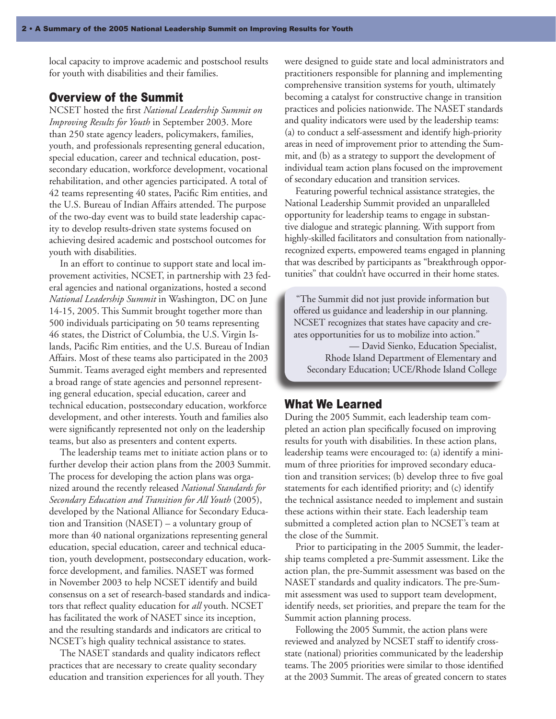local capacity to improve academic and postschool results for youth with disabilities and their families.

### Overview of the Summit

NCSET hosted the first *National Leadership Summit on Improving Results for Youth* in September 2003. More than 250 state agency leaders, policymakers, families, youth, and professionals representing general education, special education, career and technical education, postsecondary education, workforce development, vocational rehabilitation, and other agencies participated. A total of 42 teams representing 40 states, Pacific Rim entities, and the U.S. Bureau of Indian Affairs attended. The purpose of the two-day event was to build state leadership capacity to develop results-driven state systems focused on achieving desired academic and postschool outcomes for youth with disabilities.

In an effort to continue to support state and local improvement activities, NCSET, in partnership with 23 federal agencies and national organizations, hosted a second *National Leadership Summit* in Washington, DC on June 14-15, 2005. This Summit brought together more than 500 individuals participating on 50 teams representing 46 states, the District of Columbia, the U.S. Virgin Islands, Pacific Rim entities, and the U.S. Bureau of Indian Affairs. Most of these teams also participated in the 2003 Summit. Teams averaged eight members and represented a broad range of state agencies and personnel representing general education, special education, career and technical education, postsecondary education, workforce development, and other interests. Youth and families also were significantly represented not only on the leadership teams, but also as presenters and content experts.

The leadership teams met to initiate action plans or to further develop their action plans from the 2003 Summit. The process for developing the action plans was organized around the recently released *National Standards for Secondary Education and Transition for All Youth* (2005), developed by the National Alliance for Secondary Education and Transition (NASET) – a voluntary group of more than 40 national organizations representing general education, special education, career and technical education, youth development, postsecondary education, workforce development, and families. NASET was formed in November 2003 to help NCSET identify and build consensus on a set of research-based standards and indicators that reflect quality education for *all* youth. NCSET has facilitated the work of NASET since its inception, and the resulting standards and indicators are critical to NCSET's high quality technical assistance to states.

The NASET standards and quality indicators reflect practices that are necessary to create quality secondary education and transition experiences for all youth. They were designed to guide state and local administrators and practitioners responsible for planning and implementing comprehensive transition systems for youth, ultimately becoming a catalyst for constructive change in transition practices and policies nationwide. The NASET standards and quality indicators were used by the leadership teams: (a) to conduct a self-assessment and identify high-priority areas in need of improvement prior to attending the Summit, and (b) as a strategy to support the development of individual team action plans focused on the improvement of secondary education and transition services.

Featuring powerful technical assistance strategies, the National Leadership Summit provided an unparalleled opportunity for leadership teams to engage in substantive dialogue and strategic planning. With support from highly-skilled facilitators and consultation from nationallyrecognized experts, empowered teams engaged in planning that was described by participants as "breakthrough opportunities" that couldn't have occurred in their home states.

"The Summit did not just provide information but offered us guidance and leadership in our planning. NCSET recognizes that states have capacity and creates opportunities for us to mobilize into action." — David Sienko, Education Specialist, Rhode Island Department of Elementary and

Secondary Education; UCE/Rhode Island College

#### What We Learned

 $\overline{\phantom{a}}$ 

During the 2005 Summit, each leadership team completed an action plan specifically focused on improving results for youth with disabilities. In these action plans, leadership teams were encouraged to: (a) identify a minimum of three priorities for improved secondary education and transition services; (b) develop three to five goal statements for each identified priority; and (c) identify the technical assistance needed to implement and sustain these actions within their state. Each leadership team submitted a completed action plan to NCSET's team at the close of the Summit.

Prior to participating in the 2005 Summit, the leadership teams completed a pre-Summit assessment. Like the action plan, the pre-Summit assessment was based on the NASET standards and quality indicators. The pre-Summit assessment was used to support team development, identify needs, set priorities, and prepare the team for the Summit action planning process.

Following the 2005 Summit, the action plans were reviewed and analyzed by NCSET staff to identify crossstate (national) priorities communicated by the leadership teams. The 2005 priorities were similar to those identified at the 2003 Summit. The areas of greated concern to states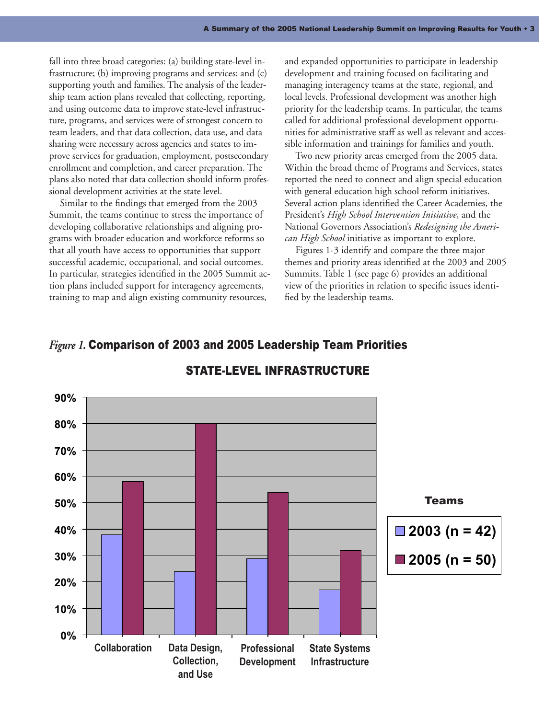fall into three broad categories: (a) building state-level infrastructure; (b) improving programs and services; and (c) supporting youth and families. The analysis of the leadership team action plans revealed that collecting, reporting, and using outcome data to improve state-level infrastructure, programs, and services were of strongest concern to team leaders, and that data collection, data use, and data sharing were necessary across agencies and states to improve services for graduation, employment, postsecondary enrollment and completion, and career preparation. The plans also noted that data collection should inform professional development activities at the state level.

Similar to the findings that emerged from the 2003 Summit, the teams continue to stress the importance of developing collaborative relationships and aligning programs with broader education and workforce reforms so that all youth have access to opportunities that support successful academic, occupational, and social outcomes. In particular, strategies identified in the 2005 Summit action plans included support for interagency agreements, training to map and align existing community resources,

and expanded opportunities to participate in leadership development and training focused on facilitating and managing interagency teams at the state, regional, and local levels. Professional development was another high priority for the leadership teams. In particular, the teams called for additional professional development opportunities for administrative staff as well as relevant and accessible information and trainings for families and youth.

Two new priority areas emerged from the 2005 data. Within the broad theme of Programs and Services, states reported the need to connect and align special education with general education high school reform initiatives. Several action plans identified the Career Academies, the President's *High School Intervention Initiative*, and the National Governors Association's *Redesigning the American High School* initiative as important to explore.

Figures 1-3 identify and compare the three major themes and priority areas identified at the 2003 and 2005 Summits. Table 1 (see page 6) provides an additional view of the priorities in relation to specific issues identified by the leadership teams.

## *Figure 1.* Comparison of 2003 and 2005 Leadership Team Priorities



# STATE-LEVEL INFRASTRUCTURE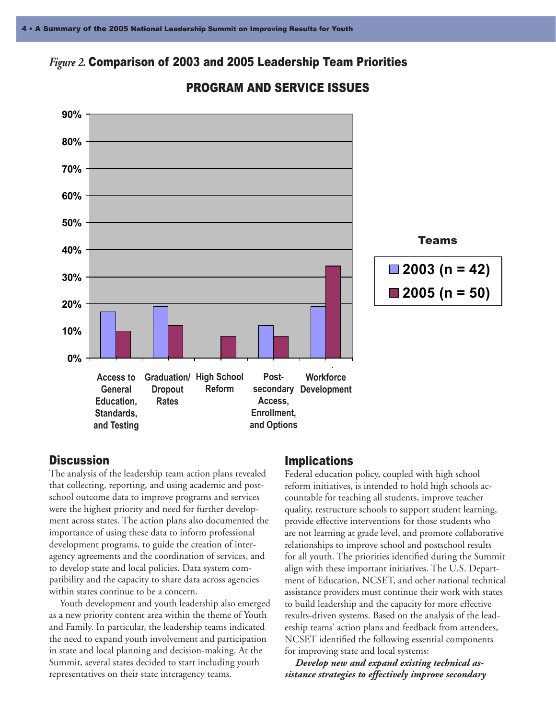# *Figure 2.* Comparison of 2003 and 2005 Leadership Team Priorities



## PROGRAM AND SERVICE ISSUES

#### **Discussion**

The analysis of the leadership team action plans revealed that collecting, reporting, and using academic and postschool outcome data to improve programs and services were the highest priority and need for further development across states. The action plans also documented the importance of using these data to inform professional development programs, to guide the creation of interagency agreements and the coordination of services, and to develop state and local policies. Data system compatibility and the capacity to share data across agencies within states continue to be a concern.

Youth development and youth leadership also emerged as a new priority content area within the theme of Youth and Family. In particular, the leadership teams indicated the need to expand youth involvement and participation in state and local planning and decision-making. At the Summit, several states decided to start including youth representatives on their state interagency teams.

#### Implications

Federal education policy, coupled with high school reform initiatives, is intended to hold high schools accountable for teaching all students, improve teacher quality, restructure schools to support student learning, provide effective interventions for those students who are not learning at grade level, and promote collaborative relationships to improve school and postschool results for all youth. The priorities identified during the Summit align with these important initiatives. The U.S. Department of Education, NCSET, and other national technical assistance providers must continue their work with states to build leadership and the capacity for more effective results-driven systems. Based on the analysis of the leadership teams' action plans and feedback from attendees, NCSET identified the following essential components for improving state and local systems:

*Develop new and expand existing technical assistance strategies to effectively improve secondary*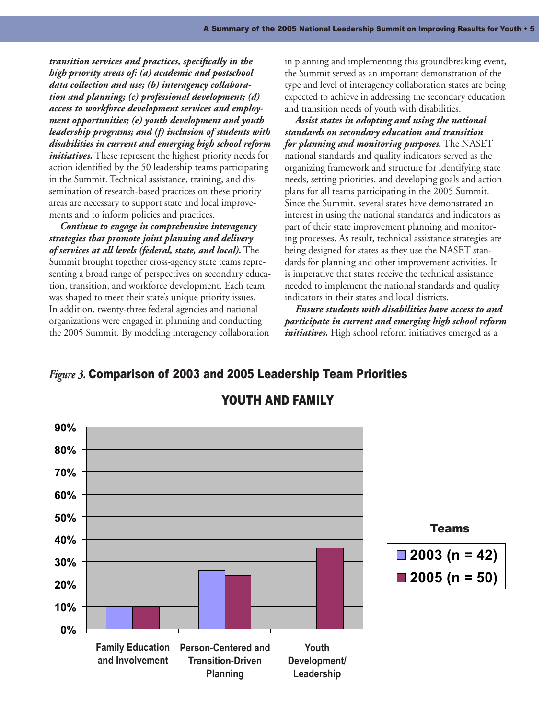*transition services and practices, specifically in the high priority areas of: (a) academic and postschool data collection and use; (b) interagency collaboration and planning; (c) professional development; (d) access to workforce development services and employment opportunities; (e) youth development and youth leadership programs; and (f) inclusion of students with disabilities in current and emerging high school reform initiatives*. These represent the highest priority needs for action identified by the 50 leadership teams participating in the Summit. Technical assistance, training, and dissemination of research-based practices on these priority areas are necessary to support state and local improvements and to inform policies and practices.

*Continue to engage in comprehensive interagency strategies that promote joint planning and delivery of services at all levels (federal, state, and local).* The Summit brought together cross-agency state teams representing a broad range of perspectives on secondary education, transition, and workforce development. Each team was shaped to meet their state's unique priority issues. In addition, twenty-three federal agencies and national organizations were engaged in planning and conducting the 2005 Summit. By modeling interagency collaboration

in planning and implementing this groundbreaking event, the Summit served as an important demonstration of the type and level of interagency collaboration states are being expected to achieve in addressing the secondary education and transition needs of youth with disabilities.

*Assist states in adopting and using the national standards on secondary education and transition for planning and monitoring purposes.* The NASET national standards and quality indicators served as the organizing framework and structure for identifying state needs, setting priorities, and developing goals and action plans for all teams participating in the 2005 Summit. Since the Summit, several states have demonstrated an interest in using the national standards and indicators as part of their state improvement planning and monitoring processes. As result, technical assistance strategies are being designed for states as they use the NASET standards for planning and other improvement activities. It is imperative that states receive the technical assistance needed to implement the national standards and quality indicators in their states and local districts.

*Ensure students with disabilities have access to and participate in current and emerging high school reform initiatives.* High school reform initiatives emerged as a

## *Figure 3.* Comparison of 2003 and 2005 Leadership Team Priorities



#### YOUTH AND FAMILY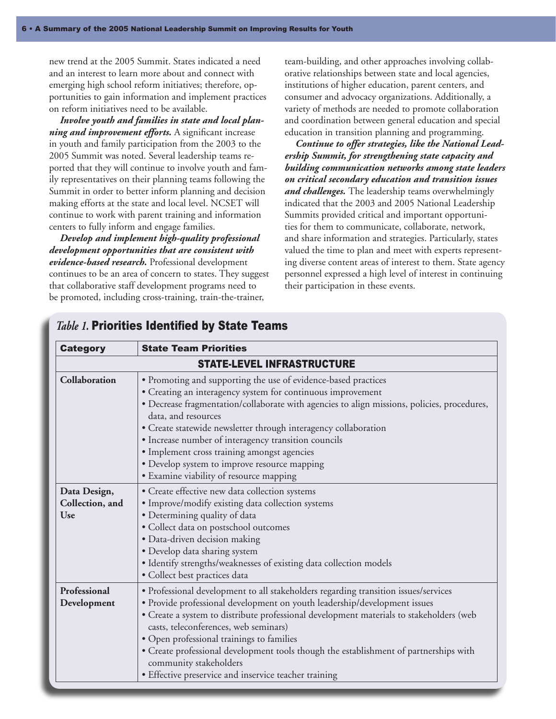new trend at the 2005 Summit. States indicated a need and an interest to learn more about and connect with emerging high school reform initiatives; therefore, opportunities to gain information and implement practices on reform initiatives need to be available.

*Involve youth and families in state and local planning and improvement efforts.* A significant increase in youth and family participation from the 2003 to the 2005 Summit was noted. Several leadership teams reported that they will continue to involve youth and family representatives on their planning teams following the Summit in order to better inform planning and decision making efforts at the state and local level. NCSET will continue to work with parent training and information centers to fully inform and engage families.

*Develop and implement high-quality professional development opportunities that are consistent with evidence-based research.* Professional development continues to be an area of concern to states. They suggest that collaborative staff development programs need to be promoted, including cross-training, train-the-trainer,

team-building, and other approaches involving collaborative relationships between state and local agencies, institutions of higher education, parent centers, and consumer and advocacy organizations. Additionally, a variety of methods are needed to promote collaboration and coordination between general education and special education in transition planning and programming.

*Continue to offer strategies, like the National Leadership Summit, for strengthening state capacity and building communication networks among state leaders on critical secondary education and transition issues and challenges.* The leadership teams overwhelmingly indicated that the 2003 and 2005 National Leadership Summits provided critical and important opportunities for them to communicate, collaborate, network, and share information and strategies. Particularly, states valued the time to plan and meet with experts representing diverse content areas of interest to them. State agency personnel expressed a high level of interest in continuing their participation in these events.

| <b>Category</b>                               | <b>State Team Priorities</b>                                                                                                                                                                                                                                                                                                                                                                                                                                                                                                  |
|-----------------------------------------------|-------------------------------------------------------------------------------------------------------------------------------------------------------------------------------------------------------------------------------------------------------------------------------------------------------------------------------------------------------------------------------------------------------------------------------------------------------------------------------------------------------------------------------|
| <b>STATE-LEVEL INFRASTRUCTURE</b>             |                                                                                                                                                                                                                                                                                                                                                                                                                                                                                                                               |
| Collaboration                                 | · Promoting and supporting the use of evidence-based practices<br>• Creating an interagency system for continuous improvement<br>· Decrease fragmentation/collaborate with agencies to align missions, policies, procedures,<br>data, and resources<br>• Create statewide newsletter through interagency collaboration<br>· Increase number of interagency transition councils<br>· Implement cross training amongst agencies<br>• Develop system to improve resource mapping<br>· Examine viability of resource mapping      |
| Data Design,<br>Collection, and<br><b>Use</b> | • Create effective new data collection systems<br>• Improve/modify existing data collection systems<br>· Determining quality of data<br>· Collect data on postschool outcomes<br>· Data-driven decision making<br>· Develop data sharing system<br>· Identify strengths/weaknesses of existing data collection models<br>· Collect best practices data                                                                                                                                                                        |
| Professional<br>Development                   | • Professional development to all stakeholders regarding transition issues/services<br>· Provide professional development on youth leadership/development issues<br>· Create a system to distribute professional development materials to stakeholders (web<br>casts, teleconferences, web seminars)<br>• Open professional trainings to families<br>· Create professional development tools though the establishment of partnerships with<br>community stakeholders<br>• Effective preservice and inservice teacher training |

### *Table 1.* Priorities Identified by State Teams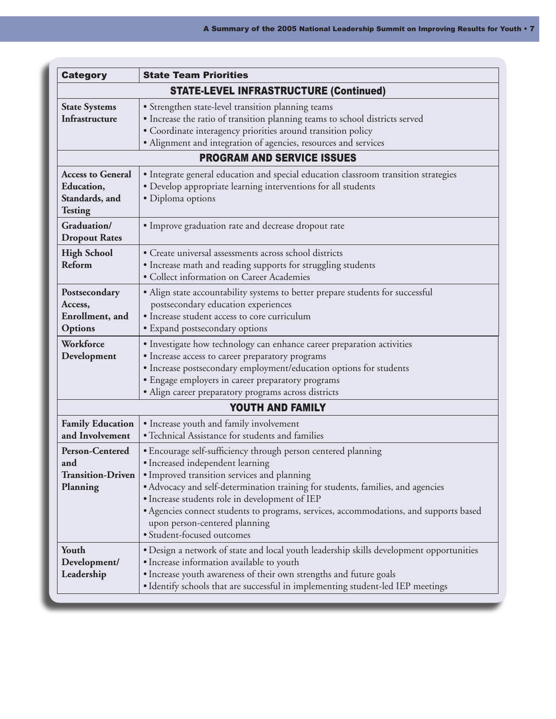| <b>Category</b>                                                            | <b>State Team Priorities</b>                                                                                                                                                                                                                                                                                                                                                                                                                  |  |
|----------------------------------------------------------------------------|-----------------------------------------------------------------------------------------------------------------------------------------------------------------------------------------------------------------------------------------------------------------------------------------------------------------------------------------------------------------------------------------------------------------------------------------------|--|
| <b>STATE-LEVEL INFRASTRUCTURE (Continued)</b>                              |                                                                                                                                                                                                                                                                                                                                                                                                                                               |  |
| <b>State Systems</b><br>Infrastructure                                     | • Strengthen state-level transition planning teams<br>• Increase the ratio of transition planning teams to school districts served<br>· Coordinate interagency priorities around transition policy<br>• Alignment and integration of agencies, resources and services                                                                                                                                                                         |  |
| <b>PROGRAM AND SERVICE ISSUES</b>                                          |                                                                                                                                                                                                                                                                                                                                                                                                                                               |  |
| <b>Access to General</b><br>Education,<br>Standards, and<br><b>Testing</b> | · Integrate general education and special education classroom transition strategies<br>• Develop appropriate learning interventions for all students<br>· Diploma options                                                                                                                                                                                                                                                                     |  |
| Graduation/<br><b>Dropout Rates</b>                                        | · Improve graduation rate and decrease dropout rate                                                                                                                                                                                                                                                                                                                                                                                           |  |
| <b>High School</b><br><b>Reform</b>                                        | · Create universal assessments across school districts<br>• Increase math and reading supports for struggling students<br>· Collect information on Career Academies                                                                                                                                                                                                                                                                           |  |
| Postsecondary<br>Access,<br>Enrollment, and<br>Options                     | • Align state accountability systems to better prepare students for successful<br>postsecondary education experiences<br>· Increase student access to core curriculum<br>• Expand postsecondary options                                                                                                                                                                                                                                       |  |
| Workforce<br>Development                                                   | · Investigate how technology can enhance career preparation activities<br>• Increase access to career preparatory programs<br>· Increase postsecondary employment/education options for students<br>· Engage employers in career preparatory programs<br>· Align career preparatory programs across districts                                                                                                                                 |  |
| <b>YOUTH AND FAMILY</b>                                                    |                                                                                                                                                                                                                                                                                                                                                                                                                                               |  |
| <b>Family Education</b><br>and Involvement                                 | • Increase youth and family involvement<br>· Technical Assistance for students and families                                                                                                                                                                                                                                                                                                                                                   |  |
| <b>Person-Centered</b><br>and<br><b>Transition-Driven</b><br>Planning      | • Encourage self-sufficiency through person centered planning<br>• Increased independent learning<br>• Improved transition services and planning<br>• Advocacy and self-determination training for students, families, and agencies<br>• Increase students role in development of IEP<br>• Agencies connect students to programs, services, accommodations, and supports based<br>upon person-centered planning<br>· Student-focused outcomes |  |
| Youth<br>Development/<br>Leadership                                        | • Design a network of state and local youth leadership skills development opportunities<br>• Increase information available to youth<br>• Increase youth awareness of their own strengths and future goals<br>• Identify schools that are successful in implementing student-led IEP meetings                                                                                                                                                 |  |